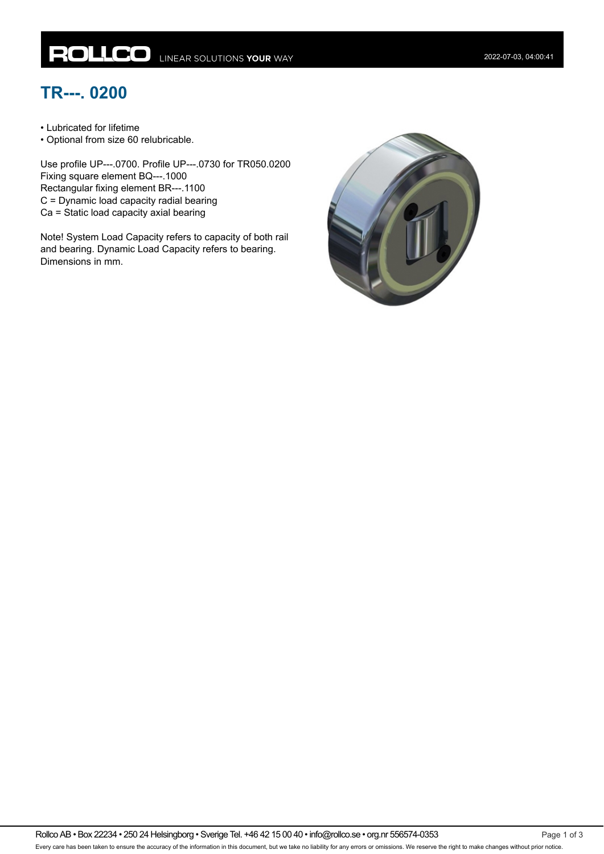## **TR---. 0200**

• Lubricated for lifetime

• Optional from size 60 relubricable.

Use profile UP---.0700. Profile UP---.0730 for TR050.0200 Fixing square element BQ---.1000 Rectangular fixing element BR---.1100 C = Dynamic load capacity radial bearing Ca = Static load capacity axial bearing

Note! System Load Capacity refers to capacity of both rail and bearing. Dynamic Load Capacity refers to bearing. Dimensions in mm.

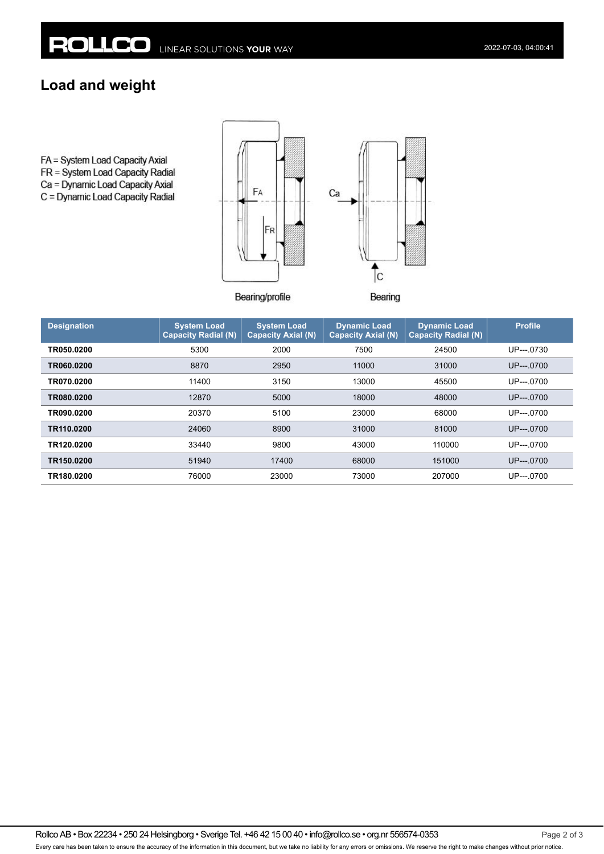## **Load and weight**

FA = System Load Capacity Axial FR = System Load Capacity Radial Ca = Dynamic Load Capacity Axial C = Dynamic Load Capacity Radial



Bearing/profile

Bearing

| <b>Designation</b> | <b>System Load</b><br>Capacity Radial (N) | <b>System Load</b><br><b>Capacity Axial (N)</b> | <b>Dynamic Load</b><br><b>Capacity Axial (N)</b> | <b>Dynamic Load</b><br><b>Capacity Radial (N)</b> | <b>Profile</b> |
|--------------------|-------------------------------------------|-------------------------------------------------|--------------------------------------------------|---------------------------------------------------|----------------|
| TR050.0200         | 5300                                      | 2000                                            | 7500                                             | 24500                                             | UP--- 0730     |
| TR060.0200         | 8870                                      | 2950                                            | 11000                                            | 31000                                             | $UP$ ---.0700  |
| TR070.0200         | 11400                                     | 3150                                            | 13000                                            | 45500                                             | UP---0700      |
| TR080.0200         | 12870                                     | 5000                                            | 18000                                            | 48000                                             | $UP$ ---.0700  |
| TR090.0200         | 20370                                     | 5100                                            | 23000                                            | 68000                                             | UP---0700      |
| TR110.0200         | 24060                                     | 8900                                            | 31000                                            | 81000                                             | $UP$ ---.0700  |
| TR120.0200         | 33440                                     | 9800                                            | 43000                                            | 110000                                            | UP---.0700     |
| TR150.0200         | 51940                                     | 17400                                           | 68000                                            | 151000                                            | $UP$ ---.0700  |
| TR180.0200         | 76000                                     | 23000                                           | 73000                                            | 207000                                            | UP--- 0700     |

Rollco AB • Box 22234 • 250 24 Helsingborg • Sverige Tel. +46 42 15 00 40 • info@rollco.se • org.nr 556574-0353 Page 2 of 3 Every care has been taken to ensure the accuracy of the information in this document, but we take no liability for any errors or omissions. We reserve the right to make changes without prior notice.